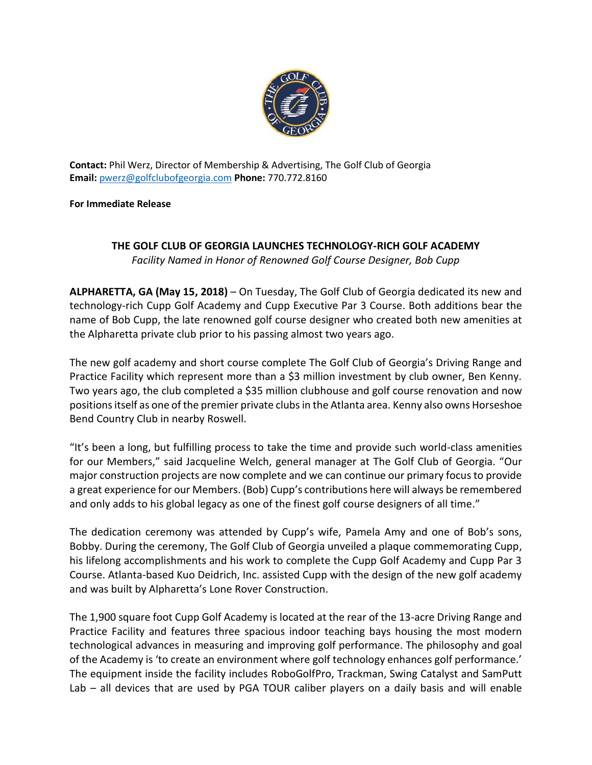

**Contact:** Phil Werz, Director of Membership & Advertising, The Golf Club of Georgia **Email:** [pwerz@golfclubofgeorgia.com](mailto:pwerz@golfclubofgeorgia.com) **Phone:** 770.772.8160

**For Immediate Release**

## **THE GOLF CLUB OF GEORGIA LAUNCHES TECHNOLOGY-RICH GOLF ACADEMY** *Facility Named in Honor of Renowned Golf Course Designer, Bob Cupp*

**ALPHARETTA, GA (May 15, 2018)** – On Tuesday, The Golf Club of Georgia dedicated its new and technology-rich Cupp Golf Academy and Cupp Executive Par 3 Course. Both additions bear the name of Bob Cupp, the late renowned golf course designer who created both new amenities at the Alpharetta private club prior to his passing almost two years ago.

The new golf academy and short course complete The Golf Club of Georgia's Driving Range and Practice Facility which represent more than a \$3 million investment by club owner, Ben Kenny. Two years ago, the club completed a \$35 million clubhouse and golf course renovation and now positions itself as one of the premier private clubs in the Atlanta area. Kenny also owns Horseshoe Bend Country Club in nearby Roswell.

"It's been a long, but fulfilling process to take the time and provide such world-class amenities for our Members," said Jacqueline Welch, general manager at The Golf Club of Georgia. "Our major construction projects are now complete and we can continue our primary focus to provide a great experience for our Members. (Bob) Cupp's contributions here will always be remembered and only adds to his global legacy as one of the finest golf course designers of all time."

The dedication ceremony was attended by Cupp's wife, Pamela Amy and one of Bob's sons, Bobby. During the ceremony, The Golf Club of Georgia unveiled a plaque commemorating Cupp, his lifelong accomplishments and his work to complete the Cupp Golf Academy and Cupp Par 3 Course. Atlanta-based Kuo Deidrich, Inc. assisted Cupp with the design of the new golf academy and was built by Alpharetta's Lone Rover Construction.

The 1,900 square foot Cupp Golf Academy is located at the rear of the 13-acre Driving Range and Practice Facility and features three spacious indoor teaching bays housing the most modern technological advances in measuring and improving golf performance. The philosophy and goal of the Academy is 'to create an environment where golf technology enhances golf performance.' The equipment inside the facility includes RoboGolfPro, Trackman, Swing Catalyst and SamPutt Lab – all devices that are used by PGA TOUR caliber players on a daily basis and will enable